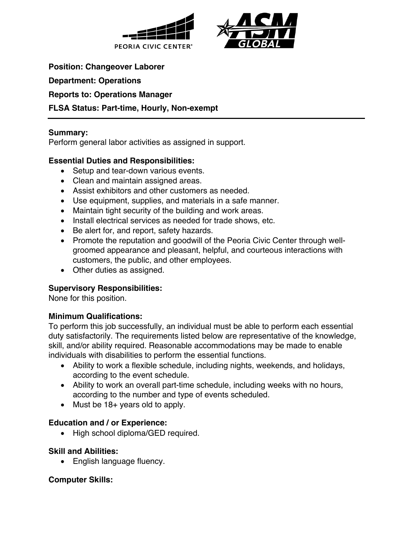



**Position: Changeover Laborer**

**Department: Operations**

**Reports to: Operations Manager**

# **FLSA Status: Part-time, Hourly, Non-exempt**

## **Summary:**

Perform general labor activities as assigned in support.

# **Essential Duties and Responsibilities:**

- Setup and tear-down various events.
- Clean and maintain assigned areas.
- Assist exhibitors and other customers as needed.
- Use equipment, supplies, and materials in a safe manner.
- Maintain tight security of the building and work areas.
- Install electrical services as needed for trade shows, etc.
- Be alert for, and report, safety hazards.
- Promote the reputation and goodwill of the Peoria Civic Center through wellgroomed appearance and pleasant, helpful, and courteous interactions with customers, the public, and other employees.
- Other duties as assigned.

# **Supervisory Responsibilities:**

None for this position.

#### **Minimum Qualifications:**

To perform this job successfully, an individual must be able to perform each essential duty satisfactorily. The requirements listed below are representative of the knowledge, skill, and/or ability required. Reasonable accommodations may be made to enable individuals with disabilities to perform the essential functions.

- Ability to work a flexible schedule, including nights, weekends, and holidays, according to the event schedule.
- Ability to work an overall part-time schedule, including weeks with no hours, according to the number and type of events scheduled.
- Must be 18+ years old to apply.

#### **Education and / or Experience:**

• High school diploma/GED required.

#### **Skill and Abilities:**

• English language fluency.

#### **Computer Skills:**